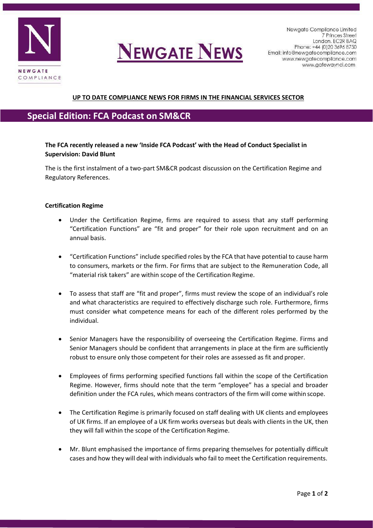

# **NEWGATE NEWS**

## **UP TO DATE COMPLIANCE NEWS FOR FIRMS IN THE FINANCIAL SERVICES SECTOR**

## **Special Edition: FCA Podcast on SM&CR**

### **The FCA recently released a new 'Inside FCA Podcast' with the Head of Conduct Specialist in Supervision: David Blunt**

The is the first instalment of a two-part SM&CR podcast discussion on the Certification Regime and Regulatory References.

#### **Certification Regime**

- Under the Certification Regime, firms are required to assess that any staff performing "Certification Functions" are "fit and proper" for their role upon recruitment and on an annual basis.
- "Certification Functions" include specified roles by the FCA that have potential to cause harm to consumers, markets or the firm. For firms that are subject to the Remuneration Code, all "material risk takers" are within scope of the Certification Regime.
- To assess that staff are "fit and proper", firms must review the scope of an individual's role and what characteristics are required to effectively discharge such role. Furthermore, firms must consider what competence means for each of the different roles performed by the individual.
- Senior Managers have the responsibility of overseeing the Certification Regime. Firms and Senior Managers should be confident that arrangements in place at the firm are sufficiently robust to ensure only those competent for their roles are assessed as fit and proper.
- Employees of firms performing specified functions fall within the scope of the Certification Regime. However, firms should note that the term "employee" has a special and broader definition under the FCA rules, which means contractors of the firm will come within scope.
- The Certification Regime is primarily focused on staff dealing with UK clients and employees of UK firms. If an employee of a UK firm works overseas but deals with clients in the UK, then they will fall within the scope of the Certification Regime.
- Mr. Blunt emphasised the importance of firms preparing themselves for potentially difficult cases and how they will deal with individuals who fail to meet the Certification requirements.